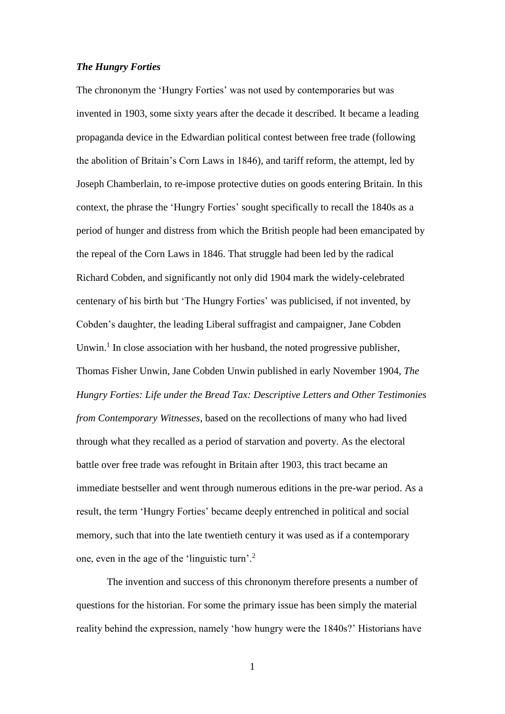# *The Hungry Forties*

The chrononym the 'Hungry Forties' was not used by contemporaries but was invented in 1903, some sixty years after the decade it described. It became a leading propaganda device in the Edwardian political contest between free trade (following the abolition of Britain's Corn Laws in 1846), and tariff reform, the attempt, led by Joseph Chamberlain, to re-impose protective duties on goods entering Britain. In this context, the phrase the 'Hungry Forties' sought specifically to recall the 1840s as a period of hunger and distress from which the British people had been emancipated by the repeal of the Corn Laws in 1846. That struggle had been led by the radical Richard Cobden, and significantly not only did 1904 mark the widely-celebrated centenary of his birth but 'The Hungry Forties' was publicised, if not invented, by Cobden's daughter, the leading Liberal suffragist and campaigner, Jane Cobden Unwin.<sup>1</sup> In close association with her husband, the noted progressive publisher, Thomas Fisher Unwin, Jane Cobden Unwin published in early November 1904, *The Hungry Forties: Life under the Bread Tax: Descriptive Letters and Other Testimonies from Contemporary Witnesses*, based on the recollections of many who had lived through what they recalled as a period of starvation and poverty. As the electoral battle over free trade was refought in Britain after 1903, this tract became an immediate bestseller and went through numerous editions in the pre-war period. As a result, the term 'Hungry Forties' became deeply entrenched in political and social memory, such that into the late twentieth century it was used as if a contemporary one, even in the age of the 'linguistic turn'.<sup>2</sup>

The invention and success of this chrononym therefore presents a number of questions for the historian. For some the primary issue has been simply the material reality behind the expression, namely 'how hungry were the 1840s?' Historians have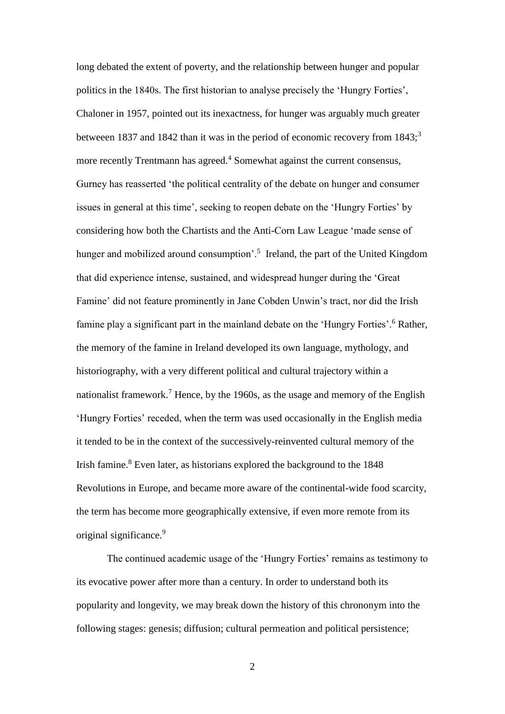long debated the extent of poverty, and the relationship between hunger and popular politics in the 1840s. The first historian to analyse precisely the 'Hungry Forties', Chaloner in 1957, pointed out its inexactness, for hunger was arguably much greater betweeen 1837 and 1842 than it was in the period of economic recovery from  $1843$ ;<sup>3</sup> more recently Trentmann has agreed.<sup>4</sup> Somewhat against the current consensus, Gurney has reasserted 'the political centrality of the debate on hunger and consumer issues in general at this time', seeking to reopen debate on the 'Hungry Forties' by considering how both the Chartists and the Anti-Corn Law League 'made sense of hunger and mobilized around consumption'.<sup>5</sup> Ireland, the part of the United Kingdom that did experience intense, sustained, and widespread hunger during the 'Great Famine' did not feature prominently in Jane Cobden Unwin's tract, nor did the Irish famine play a significant part in the mainland debate on the 'Hungry Forties'.<sup>6</sup> Rather, the memory of the famine in Ireland developed its own language, mythology, and historiography, with a very different political and cultural trajectory within a nationalist framework.<sup>7</sup> Hence, by the 1960s, as the usage and memory of the English 'Hungry Forties' receded, when the term was used occasionally in the English media it tended to be in the context of the successively-reinvented cultural memory of the Irish famine. <sup>8</sup> Even later, as historians explored the background to the 1848 Revolutions in Europe, and became more aware of the continental-wide food scarcity, the term has become more geographically extensive, if even more remote from its original significance.<sup>9</sup>

The continued academic usage of the 'Hungry Forties' remains as testimony to its evocative power after more than a century. In order to understand both its popularity and longevity, we may break down the history of this chrononym into the following stages: genesis; diffusion; cultural permeation and political persistence;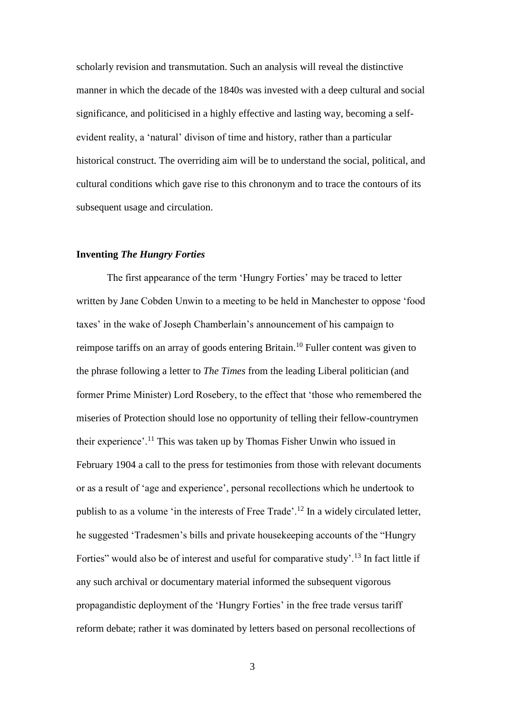scholarly revision and transmutation. Such an analysis will reveal the distinctive manner in which the decade of the 1840s was invested with a deep cultural and social significance, and politicised in a highly effective and lasting way, becoming a selfevident reality, a 'natural' divison of time and history, rather than a particular historical construct. The overriding aim will be to understand the social, political, and cultural conditions which gave rise to this chrononym and to trace the contours of its subsequent usage and circulation.

### **Inventing** *The Hungry Forties*

The first appearance of the term 'Hungry Forties' may be traced to letter written by Jane Cobden Unwin to a meeting to be held in Manchester to oppose 'food taxes' in the wake of Joseph Chamberlain's announcement of his campaign to reimpose tariffs on an array of goods entering Britain.<sup>10</sup> Fuller content was given to the phrase following a letter to *The Times* from the leading Liberal politician (and former Prime Minister) Lord Rosebery, to the effect that 'those who remembered the miseries of Protection should lose no opportunity of telling their fellow-countrymen their experience'.<sup>11</sup> This was taken up by Thomas Fisher Unwin who issued in February 1904 a call to the press for testimonies from those with relevant documents or as a result of 'age and experience', personal recollections which he undertook to publish to as a volume 'in the interests of Free Trade'.<sup>12</sup> In a widely circulated letter, he suggested 'Tradesmen's bills and private housekeeping accounts of the "Hungry Forties" would also be of interest and useful for comparative study'.<sup>13</sup> In fact little if any such archival or documentary material informed the subsequent vigorous propagandistic deployment of the 'Hungry Forties' in the free trade versus tariff reform debate; rather it was dominated by letters based on personal recollections of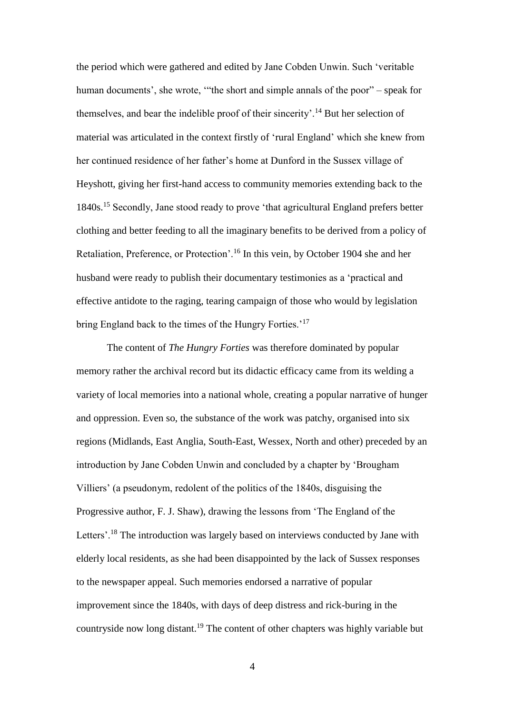the period which were gathered and edited by Jane Cobden Unwin. Such 'veritable human documents', she wrote, '"the short and simple annals of the poor" – speak for themselves, and bear the indelible proof of their sincerity'.<sup>14</sup> But her selection of material was articulated in the context firstly of 'rural England' which she knew from her continued residence of her father's home at Dunford in the Sussex village of Heyshott, giving her first-hand access to community memories extending back to the 1840s.<sup>15</sup> Secondly, Jane stood ready to prove 'that agricultural England prefers better clothing and better feeding to all the imaginary benefits to be derived from a policy of Retaliation, Preference, or Protection'.<sup>16</sup> In this vein, by October 1904 she and her husband were ready to publish their documentary testimonies as a 'practical and effective antidote to the raging, tearing campaign of those who would by legislation bring England back to the times of the Hungry Forties.'<sup>17</sup>

The content of *The Hungry Forties* was therefore dominated by popular memory rather the archival record but its didactic efficacy came from its welding a variety of local memories into a national whole, creating a popular narrative of hunger and oppression. Even so, the substance of the work was patchy, organised into six regions (Midlands, East Anglia, South-East, Wessex, North and other) preceded by an introduction by Jane Cobden Unwin and concluded by a chapter by 'Brougham Villiers' (a pseudonym, redolent of the politics of the 1840s, disguising the Progressive author, F. J. Shaw), drawing the lessons from 'The England of the Letters'.<sup>18</sup> The introduction was largely based on interviews conducted by Jane with elderly local residents, as she had been disappointed by the lack of Sussex responses to the newspaper appeal. Such memories endorsed a narrative of popular improvement since the 1840s, with days of deep distress and rick-buring in the countryside now long distant.<sup>19</sup> The content of other chapters was highly variable but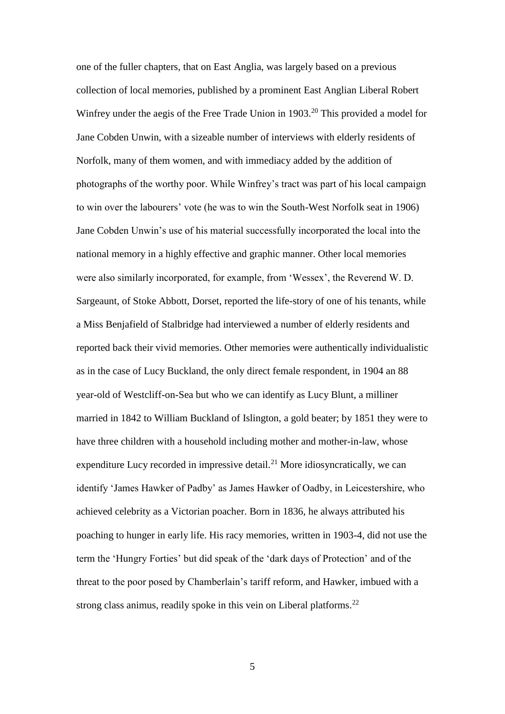one of the fuller chapters, that on East Anglia, was largely based on a previous collection of local memories, published by a prominent East Anglian Liberal Robert Winfrey under the aegis of the Free Trade Union in 1903.<sup>20</sup> This provided a model for Jane Cobden Unwin, with a sizeable number of interviews with elderly residents of Norfolk, many of them women, and with immediacy added by the addition of photographs of the worthy poor. While Winfrey's tract was part of his local campaign to win over the labourers' vote (he was to win the South-West Norfolk seat in 1906) Jane Cobden Unwin's use of his material successfully incorporated the local into the national memory in a highly effective and graphic manner. Other local memories were also similarly incorporated, for example, from 'Wessex', the Reverend W. D. Sargeaunt, of Stoke Abbott, Dorset, reported the life-story of one of his tenants, while a Miss Benjafield of Stalbridge had interviewed a number of elderly residents and reported back their vivid memories. Other memories were authentically individualistic as in the case of Lucy Buckland, the only direct female respondent, in 1904 an 88 year-old of Westcliff-on-Sea but who we can identify as Lucy Blunt, a milliner married in 1842 to William Buckland of Islington, a gold beater; by 1851 they were to have three children with a household including mother and mother-in-law, whose expenditure Lucy recorded in impressive detail.<sup>21</sup> More idiosyncratically, we can identify 'James Hawker of Padby' as James Hawker of Oadby, in Leicestershire, who achieved celebrity as a Victorian poacher. Born in 1836, he always attributed his poaching to hunger in early life. His racy memories, written in 1903-4, did not use the term the 'Hungry Forties' but did speak of the 'dark days of Protection' and of the threat to the poor posed by Chamberlain's tariff reform, and Hawker, imbued with a strong class animus, readily spoke in this vein on Liberal platforms.<sup>22</sup>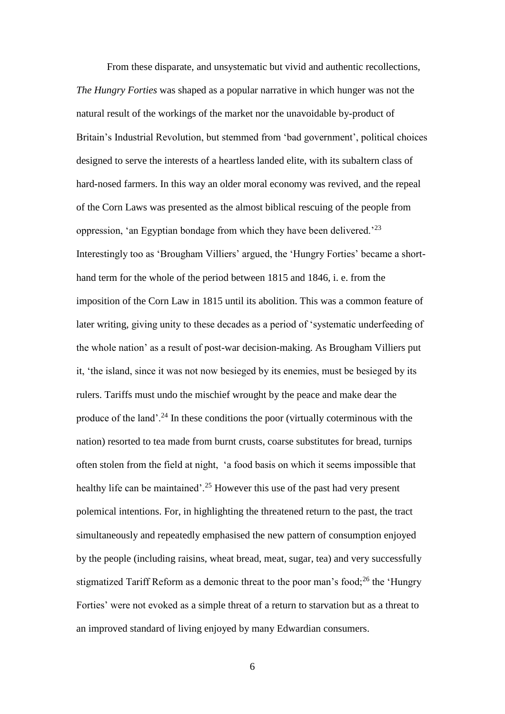From these disparate, and unsystematic but vivid and authentic recollections, *The Hungry Forties* was shaped as a popular narrative in which hunger was not the natural result of the workings of the market nor the unavoidable by-product of Britain's Industrial Revolution, but stemmed from 'bad government', political choices designed to serve the interests of a heartless landed elite, with its subaltern class of hard-nosed farmers. In this way an older moral economy was revived, and the repeal of the Corn Laws was presented as the almost biblical rescuing of the people from oppression, 'an Egyptian bondage from which they have been delivered.'<sup>23</sup> Interestingly too as 'Brougham Villiers' argued, the 'Hungry Forties' became a shorthand term for the whole of the period between 1815 and 1846, i. e. from the imposition of the Corn Law in 1815 until its abolition. This was a common feature of later writing, giving unity to these decades as a period of 'systematic underfeeding of the whole nation' as a result of post-war decision-making. As Brougham Villiers put it, 'the island, since it was not now besieged by its enemies, must be besieged by its rulers. Tariffs must undo the mischief wrought by the peace and make dear the produce of the land'.<sup>24</sup> In these conditions the poor (virtually coterminous with the nation) resorted to tea made from burnt crusts, coarse substitutes for bread, turnips often stolen from the field at night, 'a food basis on which it seems impossible that healthy life can be maintained'.<sup>25</sup> However this use of the past had very present polemical intentions. For, in highlighting the threatened return to the past, the tract simultaneously and repeatedly emphasised the new pattern of consumption enjoyed by the people (including raisins, wheat bread, meat, sugar, tea) and very successfully stigmatized Tariff Reform as a demonic threat to the poor man's food;<sup>26</sup> the 'Hungry Forties' were not evoked as a simple threat of a return to starvation but as a threat to an improved standard of living enjoyed by many Edwardian consumers.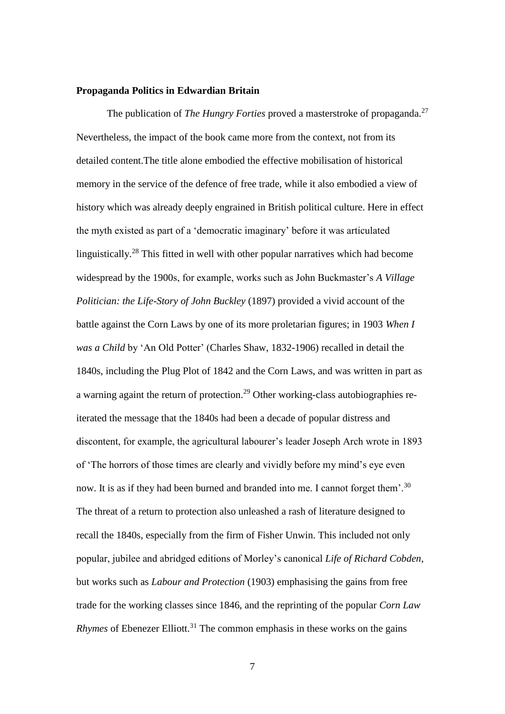#### **Propaganda Politics in Edwardian Britain**

The publication of *The Hungry Forties* proved a masterstroke of propaganda.<sup>27</sup> Nevertheless, the impact of the book came more from the context, not from its detailed content.The title alone embodied the effective mobilisation of historical memory in the service of the defence of free trade, while it also embodied a view of history which was already deeply engrained in British political culture. Here in effect the myth existed as part of a 'democratic imaginary' before it was articulated linguistically.<sup>28</sup> This fitted in well with other popular narratives which had become widespread by the 1900s, for example, works such as John Buckmaster's *A Village Politician: the Life-Story of John Buckley* (1897) provided a vivid account of the battle against the Corn Laws by one of its more proletarian figures; in 1903 *When I was a Child* by 'An Old Potter' (Charles Shaw, 1832-1906) recalled in detail the 1840s, including the Plug Plot of 1842 and the Corn Laws, and was written in part as a warning againt the return of protection.<sup>29</sup> Other working-class autobiographies reiterated the message that the 1840s had been a decade of popular distress and discontent, for example, the agricultural labourer's leader Joseph Arch wrote in 1893 of 'The horrors of those times are clearly and vividly before my mind's eye even now. It is as if they had been burned and branded into me. I cannot forget them'.<sup>30</sup> The threat of a return to protection also unleashed a rash of literature designed to recall the 1840s, especially from the firm of Fisher Unwin. This included not only popular, jubilee and abridged editions of Morley's canonical *Life of Richard Cobden*, but works such as *Labour and Protection* (1903) emphasising the gains from free trade for the working classes since 1846, and the reprinting of the popular *Corn Law Rhymes* of Ebenezer Elliott.<sup>31</sup> The common emphasis in these works on the gains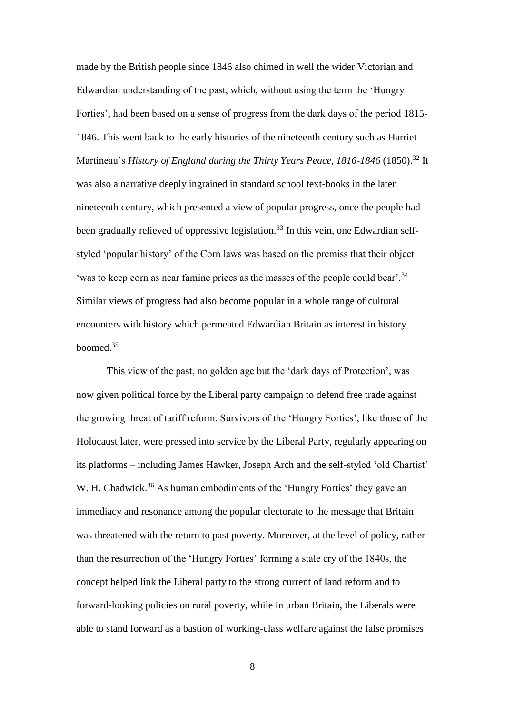made by the British people since 1846 also chimed in well the wider Victorian and Edwardian understanding of the past, which, without using the term the 'Hungry Forties', had been based on a sense of progress from the dark days of the period 1815- 1846. This went back to the early histories of the nineteenth century such as Harriet Martineau's *History of England during the Thirty Years Peace, 1816-1846* (1850).<sup>32</sup> It was also a narrative deeply ingrained in standard school text-books in the later nineteenth century, which presented a view of popular progress, once the people had been gradually relieved of oppressive legislation.<sup>33</sup> In this vein, one Edwardian selfstyled 'popular history' of the Corn laws was based on the premiss that their object 'was to keep corn as near famine prices as the masses of the people could bear'.<sup>34</sup> Similar views of progress had also become popular in a whole range of cultural encounters with history which permeated Edwardian Britain as interest in history boomed.<sup>35</sup>

This view of the past, no golden age but the 'dark days of Protection', was now given political force by the Liberal party campaign to defend free trade against the growing threat of tariff reform. Survivors of the 'Hungry Forties', like those of the Holocaust later, were pressed into service by the Liberal Party, regularly appearing on its platforms – including James Hawker, Joseph Arch and the self-styled 'old Chartist' W. H. Chadwick.<sup>36</sup> As human embodiments of the 'Hungry Forties' they gave an immediacy and resonance among the popular electorate to the message that Britain was threatened with the return to past poverty. Moreover, at the level of policy, rather than the resurrection of the 'Hungry Forties' forming a stale cry of the 1840s, the concept helped link the Liberal party to the strong current of land reform and to forward-looking policies on rural poverty, while in urban Britain, the Liberals were able to stand forward as a bastion of working-class welfare against the false promises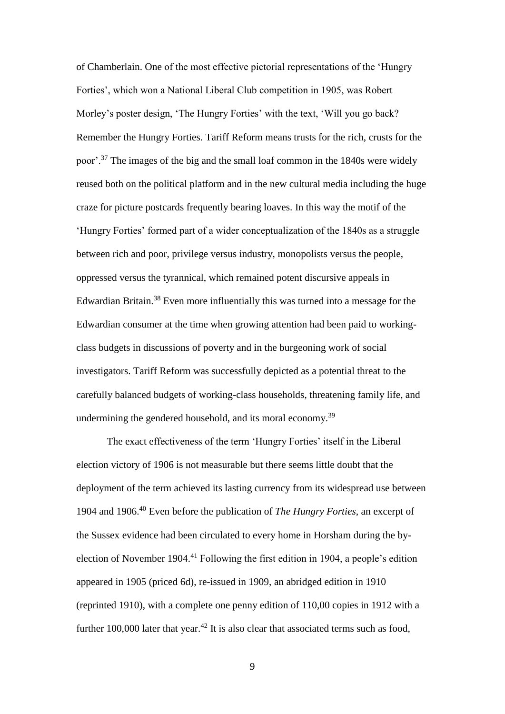of Chamberlain. One of the most effective pictorial representations of the 'Hungry Forties', which won a National Liberal Club competition in 1905, was Robert Morley's poster design, 'The Hungry Forties' with the text, 'Will you go back? Remember the Hungry Forties. Tariff Reform means trusts for the rich, crusts for the poor'.<sup>37</sup> The images of the big and the small loaf common in the 1840s were widely reused both on the political platform and in the new cultural media including the huge craze for picture postcards frequently bearing loaves. In this way the motif of the 'Hungry Forties' formed part of a wider conceptualization of the 1840s as a struggle between rich and poor, privilege versus industry, monopolists versus the people, oppressed versus the tyrannical, which remained potent discursive appeals in Edwardian Britain.<sup>38</sup> Even more influentially this was turned into a message for the Edwardian consumer at the time when growing attention had been paid to workingclass budgets in discussions of poverty and in the burgeoning work of social investigators. Tariff Reform was successfully depicted as a potential threat to the carefully balanced budgets of working-class households, threatening family life, and undermining the gendered household, and its moral economy.<sup>39</sup>

The exact effectiveness of the term 'Hungry Forties' itself in the Liberal election victory of 1906 is not measurable but there seems little doubt that the deployment of the term achieved its lasting currency from its widespread use between 1904 and 1906.<sup>40</sup> Even before the publication of *The Hungry Forties*, an excerpt of the Sussex evidence had been circulated to every home in Horsham during the byelection of November 1904.<sup>41</sup> Following the first edition in 1904, a people's edition appeared in 1905 (priced 6d), re-issued in 1909, an abridged edition in 1910 (reprinted 1910), with a complete one penny edition of 110,00 copies in 1912 with a further 100,000 later that year.<sup>42</sup> It is also clear that associated terms such as food,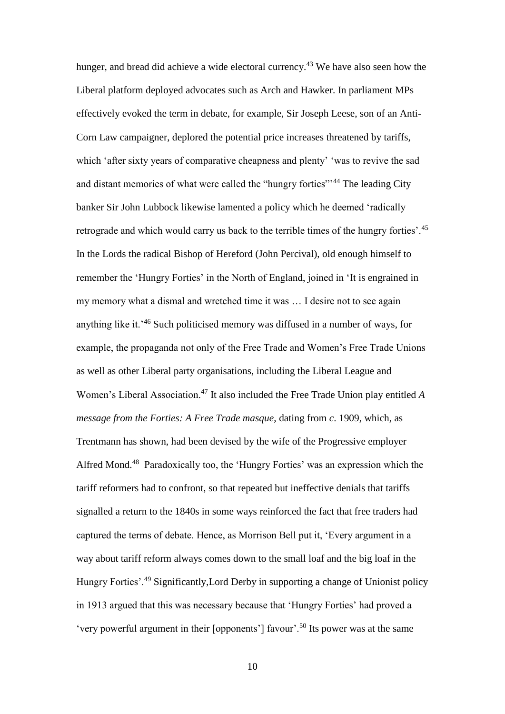hunger, and bread did achieve a wide electoral currency.<sup>43</sup> We have also seen how the Liberal platform deployed advocates such as Arch and Hawker. In parliament MPs effectively evoked the term in debate, for example, Sir Joseph Leese, son of an Anti-Corn Law campaigner, deplored the potential price increases threatened by tariffs, which 'after sixty years of comparative cheapness and plenty' 'was to revive the sad and distant memories of what were called the "hungry forties"<sup>44</sup> The leading City banker Sir John Lubbock likewise lamented a policy which he deemed 'radically retrograde and which would carry us back to the terrible times of the hungry forties'.<sup>45</sup> In the Lords the radical Bishop of Hereford (John Percival), old enough himself to remember the 'Hungry Forties' in the North of England, joined in 'It is engrained in my memory what a dismal and wretched time it was … I desire not to see again anything like it.'<sup>46</sup> Such politicised memory was diffused in a number of ways, for example, the propaganda not only of the Free Trade and Women's Free Trade Unions as well as other Liberal party organisations, including the Liberal League and Women's Liberal Association.<sup>47</sup> It also included the Free Trade Union play entitled *A message from the Forties: A Free Trade masque*, dating from *c*. 1909, which, as Trentmann has shown, had been devised by the wife of the Progressive employer Alfred Mond.<sup>48</sup> Paradoxically too, the 'Hungry Forties' was an expression which the tariff reformers had to confront, so that repeated but ineffective denials that tariffs signalled a return to the 1840s in some ways reinforced the fact that free traders had captured the terms of debate. Hence, as Morrison Bell put it, 'Every argument in a way about tariff reform always comes down to the small loaf and the big loaf in the Hungry Forties'.<sup>49</sup> Significantly,Lord Derby in supporting a change of Unionist policy in 1913 argued that this was necessary because that 'Hungry Forties' had proved a 'very powerful argument in their [opponents'] favour'.<sup>50</sup> Its power was at the same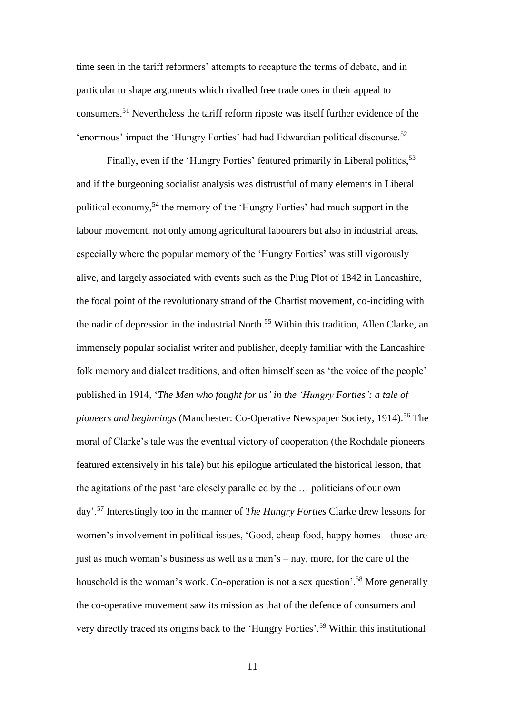time seen in the tariff reformers' attempts to recapture the terms of debate, and in particular to shape arguments which rivalled free trade ones in their appeal to consumers.<sup>51</sup> Nevertheless the tariff reform riposte was itself further evidence of the 'enormous' impact the 'Hungry Forties' had had Edwardian political discourse.<sup>52</sup>

Finally, even if the 'Hungry Forties' featured primarily in Liberal politics.<sup>53</sup> and if the burgeoning socialist analysis was distrustful of many elements in Liberal political economy,<sup>54</sup> the memory of the 'Hungry Forties' had much support in the labour movement, not only among agricultural labourers but also in industrial areas, especially where the popular memory of the 'Hungry Forties' was still vigorously alive, and largely associated with events such as the Plug Plot of 1842 in Lancashire, the focal point of the revolutionary strand of the Chartist movement, co-inciding with the nadir of depression in the industrial North.<sup>55</sup> Within this tradition, Allen Clarke, an immensely popular socialist writer and publisher, deeply familiar with the Lancashire folk memory and dialect traditions, and often himself seen as 'the voice of the people' published in 1914, '*The Men who fought for us' in the 'Hungry Forties': a tale of pioneers and beginnings* (Manchester: Co-Operative Newspaper Society, 1914).<sup>56</sup> The moral of Clarke's tale was the eventual victory of cooperation (the Rochdale pioneers featured extensively in his tale) but his epilogue articulated the historical lesson, that the agitations of the past 'are closely paralleled by the … politicians of our own day'.<sup>57</sup> Interestingly too in the manner of *The Hungry Forties* Clarke drew lessons for women's involvement in political issues, 'Good, cheap food, happy homes – those are just as much woman's business as well as a man's – nay, more, for the care of the household is the woman's work. Co-operation is not a sex question'.<sup>58</sup> More generally the co-operative movement saw its mission as that of the defence of consumers and very directly traced its origins back to the 'Hungry Forties'. <sup>59</sup> Within this institutional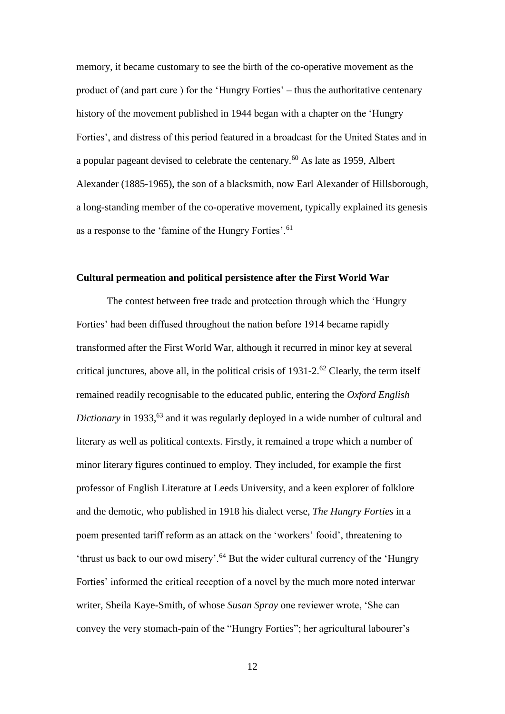memory, it became customary to see the birth of the co-operative movement as the product of (and part cure ) for the 'Hungry Forties' – thus the authoritative centenary history of the movement published in 1944 began with a chapter on the 'Hungry Forties', and distress of this period featured in a broadcast for the United States and in a popular pageant devised to celebrate the centenary.<sup>60</sup> As late as 1959, Albert Alexander (1885-1965), the son of a blacksmith, now Earl Alexander of Hillsborough, a long-standing member of the co-operative movement, typically explained its genesis as a response to the 'famine of the Hungry Forties'.<sup>61</sup>

# **Cultural permeation and political persistence after the First World War**

The contest between free trade and protection through which the 'Hungry Forties' had been diffused throughout the nation before 1914 became rapidly transformed after the First World War, although it recurred in minor key at several critical junctures, above all, in the political crisis of  $1931-2$ .<sup>62</sup> Clearly, the term itself remained readily recognisable to the educated public, entering the *Oxford English Dictionary* in 1933,<sup>63</sup> and it was regularly deployed in a wide number of cultural and literary as well as political contexts. Firstly, it remained a trope which a number of minor literary figures continued to employ. They included, for example the first professor of English Literature at Leeds University, and a keen explorer of folklore and the demotic, who published in 1918 his dialect verse, *The Hungry Forties* in a poem presented tariff reform as an attack on the 'workers' fooid', threatening to 'thrust us back to our owd misery'.<sup>64</sup> But the wider cultural currency of the 'Hungry Forties' informed the critical reception of a novel by the much more noted interwar writer, Sheila Kaye-Smith, of whose *Susan Spray* one reviewer wrote, 'She can convey the very stomach-pain of the "Hungry Forties"; her agricultural labourer's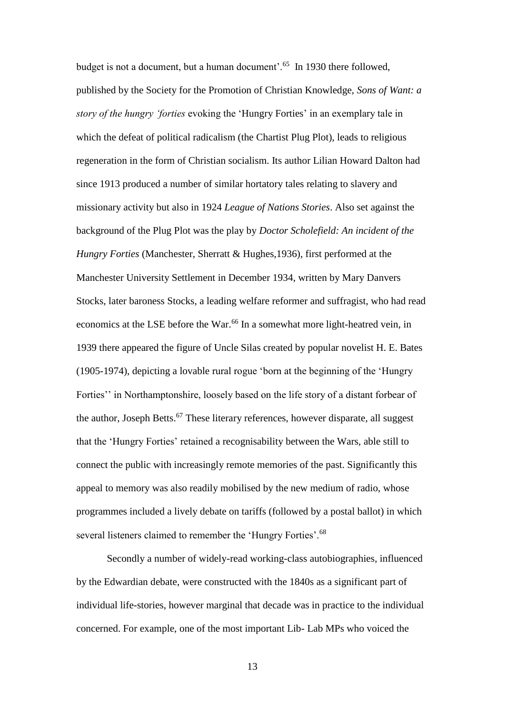budget is not a document, but a human document'.<sup>65</sup> In 1930 there followed, published by the Society for the Promotion of Christian Knowledge, *Sons of Want: a story of the hungry 'forties* evoking the 'Hungry Forties' in an exemplary tale in which the defeat of political radicalism (the Chartist Plug Plot), leads to religious regeneration in the form of Christian socialism. Its author Lilian Howard Dalton had since 1913 produced a number of similar hortatory tales relating to slavery and missionary activity but also in 1924 *League of Nations Stories*. Also set against the background of the Plug Plot was the play by *Doctor Scholefield: An incident of the Hungry Forties* (Manchester, Sherratt & Hughes,1936), first performed at the Manchester University Settlement in December 1934, written by Mary Danvers Stocks, later baroness Stocks, a leading welfare reformer and suffragist, who had read economics at the LSE before the War.<sup>66</sup> In a somewhat more light-heatred vein, in 1939 there appeared the figure of Uncle Silas created by popular novelist H. E. Bates (1905-1974), depicting a lovable rural rogue 'born at the beginning of the 'Hungry Forties'' in Northamptonshire, loosely based on the life story of a distant forbear of the author, Joseph Betts. $67$  These literary references, however disparate, all suggest that the 'Hungry Forties' retained a recognisability between the Wars, able still to connect the public with increasingly remote memories of the past. Significantly this appeal to memory was also readily mobilised by the new medium of radio, whose programmes included a lively debate on tariffs (followed by a postal ballot) in which several listeners claimed to remember the 'Hungry Forties'.<sup>68</sup>

Secondly a number of widely-read working-class autobiographies, influenced by the Edwardian debate, were constructed with the 1840s as a significant part of individual life-stories, however marginal that decade was in practice to the individual concerned. For example, one of the most important Lib- Lab MPs who voiced the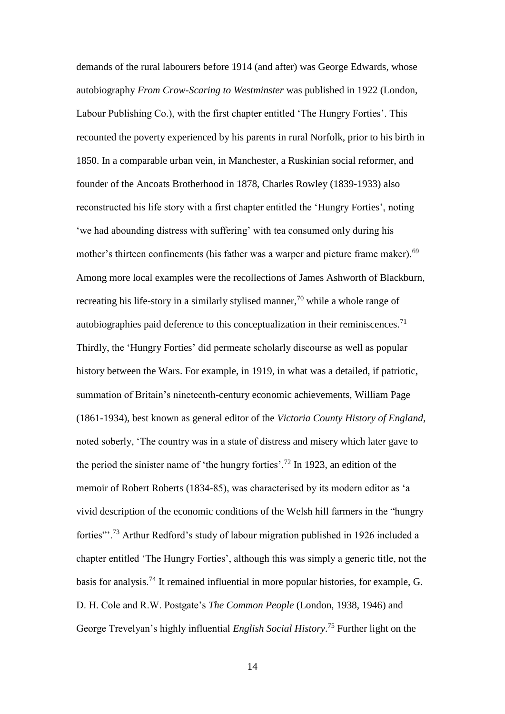demands of the rural labourers before 1914 (and after) was George Edwards, whose autobiography *From Crow-Scaring to Westminster* was published in 1922 (London, Labour Publishing Co.), with the first chapter entitled 'The Hungry Forties'. This recounted the poverty experienced by his parents in rural Norfolk, prior to his birth in 1850. In a comparable urban vein, in Manchester, a Ruskinian social reformer, and founder of the Ancoats Brotherhood in 1878, Charles Rowley (1839-1933) also reconstructed his life story with a first chapter entitled the 'Hungry Forties', noting 'we had abounding distress with suffering' with tea consumed only during his mother's thirteen confinements (his father was a warper and picture frame maker).<sup>69</sup> Among more local examples were the recollections of James Ashworth of Blackburn, recreating his life-story in a similarly stylised manner,<sup>70</sup> while a whole range of autobiographies paid deference to this conceptualization in their reminiscences.<sup>71</sup> Thirdly, the 'Hungry Forties' did permeate scholarly discourse as well as popular history between the Wars. For example, in 1919, in what was a detailed, if patriotic, summation of Britain's nineteenth-century economic achievements, William Page (1861-1934), best known as general editor of the *Victoria County History of England*, noted soberly, 'The country was in a state of distress and misery which later gave to the period the sinister name of 'the hungry forties'.<sup>72</sup> In 1923, an edition of the memoir of Robert Roberts (1834-85), was characterised by its modern editor as 'a vivid description of the economic conditions of the Welsh hill farmers in the "hungry forties"'.<sup>73</sup> Arthur Redford's study of labour migration published in 1926 included a chapter entitled 'The Hungry Forties', although this was simply a generic title, not the basis for analysis.<sup>74</sup> It remained influential in more popular histories, for example, G. D. H. Cole and R.W. Postgate's *The Common People* (London, 1938, 1946) and George Trevelyan's highly influential *English Social History*. <sup>75</sup> Further light on the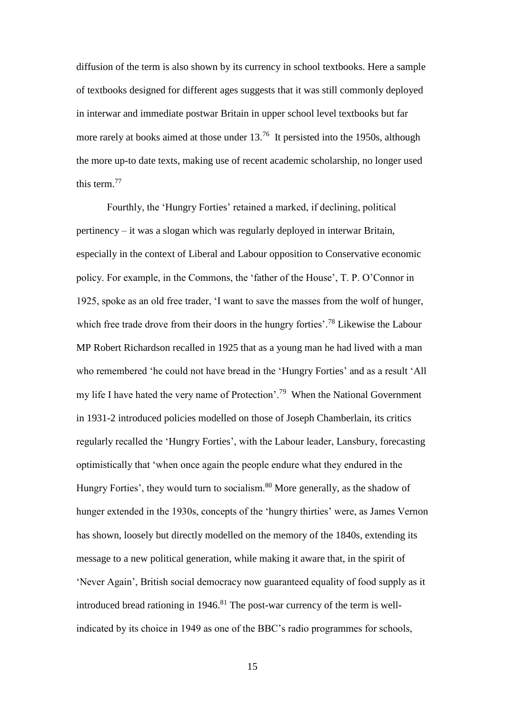diffusion of the term is also shown by its currency in school textbooks. Here a sample of textbooks designed for different ages suggests that it was still commonly deployed in interwar and immediate postwar Britain in upper school level textbooks but far more rarely at books aimed at those under 13.<sup>76</sup> It persisted into the 1950s, although the more up-to date texts, making use of recent academic scholarship, no longer used this term.<sup>77</sup>

Fourthly, the 'Hungry Forties' retained a marked, if declining, political pertinency – it was a slogan which was regularly deployed in interwar Britain, especially in the context of Liberal and Labour opposition to Conservative economic policy. For example, in the Commons, the 'father of the House', T. P. O'Connor in 1925, spoke as an old free trader, 'I want to save the masses from the wolf of hunger, which free trade drove from their doors in the hungry forties'.<sup>78</sup> Likewise the Labour MP Robert Richardson recalled in 1925 that as a young man he had lived with a man who remembered 'he could not have bread in the 'Hungry Forties' and as a result 'All my life I have hated the very name of Protection'.<sup>79</sup> When the National Government in 1931-2 introduced policies modelled on those of Joseph Chamberlain, its critics regularly recalled the 'Hungry Forties', with the Labour leader, Lansbury, forecasting optimistically that 'when once again the people endure what they endured in the Hungry Forties', they would turn to socialism.<sup>80</sup> More generally, as the shadow of hunger extended in the 1930s, concepts of the 'hungry thirties' were, as James Vernon has shown, loosely but directly modelled on the memory of the 1840s, extending its message to a new political generation, while making it aware that, in the spirit of 'Never Again', British social democracy now guaranteed equality of food supply as it introduced bread rationing in 1946.<sup>81</sup> The post-war currency of the term is wellindicated by its choice in 1949 as one of the BBC's radio programmes for schools,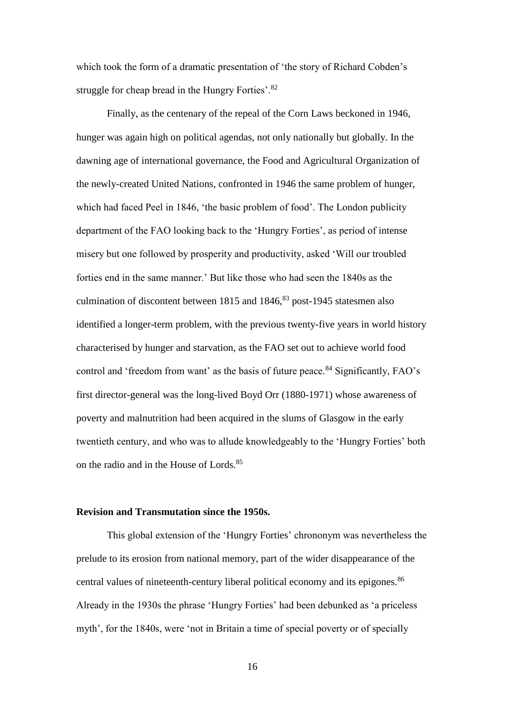which took the form of a dramatic presentation of 'the story of Richard Cobden's struggle for cheap bread in the Hungry Forties'.<sup>82</sup>

Finally, as the centenary of the repeal of the Corn Laws beckoned in 1946, hunger was again high on political agendas, not only nationally but globally. In the dawning age of international governance, the Food and Agricultural Organization of the newly-created United Nations, confronted in 1946 the same problem of hunger, which had faced Peel in 1846, 'the basic problem of food'. The London publicity department of the FAO looking back to the 'Hungry Forties', as period of intense misery but one followed by prosperity and productivity, asked 'Will our troubled forties end in the same manner.' But like those who had seen the 1840s as the culmination of discontent between  $1815$  and  $1846$ ,  $83$  post-1945 statesmen also identified a longer-term problem, with the previous twenty-five years in world history characterised by hunger and starvation, as the FAO set out to achieve world food control and 'freedom from want' as the basis of future peace.<sup>84</sup> Significantly, FAO's first director-general was the long-lived Boyd Orr (1880-1971) whose awareness of poverty and malnutrition had been acquired in the slums of Glasgow in the early twentieth century, and who was to allude knowledgeably to the 'Hungry Forties' both on the radio and in the House of Lords.<sup>85</sup>

### **Revision and Transmutation since the 1950s.**

This global extension of the 'Hungry Forties' chrononym was nevertheless the prelude to its erosion from national memory, part of the wider disappearance of the central values of nineteenth-century liberal political economy and its epigones.<sup>86</sup> Already in the 1930s the phrase 'Hungry Forties' had been debunked as 'a priceless myth', for the 1840s, were 'not in Britain a time of special poverty or of specially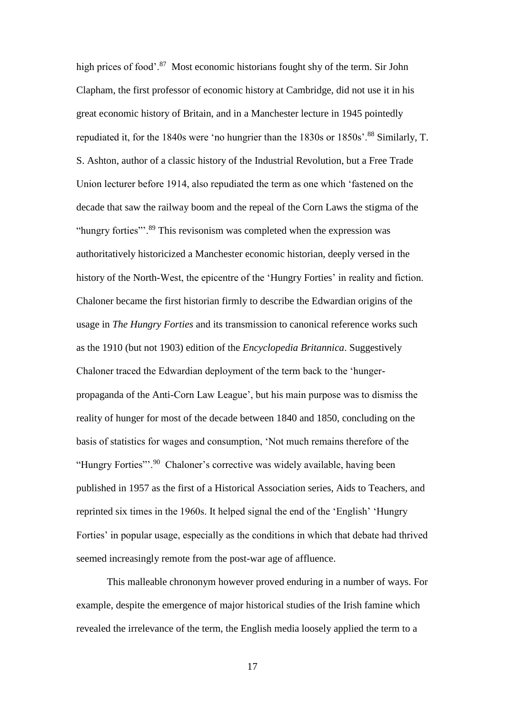high prices of food'.<sup>87</sup> Most economic historians fought shy of the term. Sir John Clapham, the first professor of economic history at Cambridge, did not use it in his great economic history of Britain, and in a Manchester lecture in 1945 pointedly repudiated it, for the 1840s were 'no hungrier than the 1830s or 1850s'.<sup>88</sup> Similarly, T. S. Ashton, author of a classic history of the Industrial Revolution, but a Free Trade Union lecturer before 1914, also repudiated the term as one which 'fastened on the decade that saw the railway boom and the repeal of the Corn Laws the stigma of the "hungry forties"<sup>.89</sup> This revisonism was completed when the expression was authoritatively historicized a Manchester economic historian, deeply versed in the history of the North-West, the epicentre of the 'Hungry Forties' in reality and fiction. Chaloner became the first historian firmly to describe the Edwardian origins of the usage in *The Hungry Forties* and its transmission to canonical reference works such as the 1910 (but not 1903) edition of the *Encyclopedia Britannica*. Suggestively Chaloner traced the Edwardian deployment of the term back to the 'hungerpropaganda of the Anti-Corn Law League', but his main purpose was to dismiss the reality of hunger for most of the decade between 1840 and 1850, concluding on the basis of statistics for wages and consumption, 'Not much remains therefore of the "Hungry Forties"'.<sup>90</sup> Chaloner's corrective was widely available, having been published in 1957 as the first of a Historical Association series, Aids to Teachers, and reprinted six times in the 1960s. It helped signal the end of the 'English' 'Hungry Forties' in popular usage, especially as the conditions in which that debate had thrived seemed increasingly remote from the post-war age of affluence.

This malleable chrononym however proved enduring in a number of ways. For example, despite the emergence of major historical studies of the Irish famine which revealed the irrelevance of the term, the English media loosely applied the term to a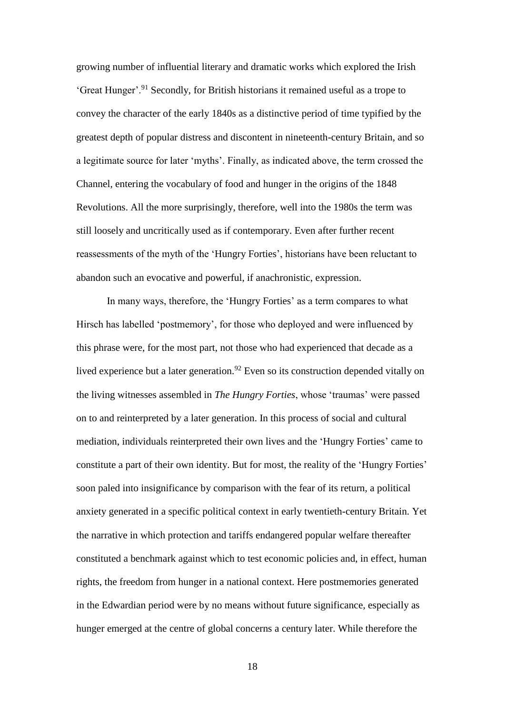growing number of influential literary and dramatic works which explored the Irish 'Great Hunger'.<sup>91</sup> Secondly, for British historians it remained useful as a trope to convey the character of the early 1840s as a distinctive period of time typified by the greatest depth of popular distress and discontent in nineteenth-century Britain, and so a legitimate source for later 'myths'. Finally, as indicated above, the term crossed the Channel, entering the vocabulary of food and hunger in the origins of the 1848 Revolutions. All the more surprisingly, therefore, well into the 1980s the term was still loosely and uncritically used as if contemporary. Even after further recent reassessments of the myth of the 'Hungry Forties', historians have been reluctant to abandon such an evocative and powerful, if anachronistic, expression.

In many ways, therefore, the 'Hungry Forties' as a term compares to what Hirsch has labelled 'postmemory', for those who deployed and were influenced by this phrase were, for the most part, not those who had experienced that decade as a lived experience but a later generation.<sup>92</sup> Even so its construction depended vitally on the living witnesses assembled in *The Hungry Forties*, whose 'traumas' were passed on to and reinterpreted by a later generation. In this process of social and cultural mediation, individuals reinterpreted their own lives and the 'Hungry Forties' came to constitute a part of their own identity. But for most, the reality of the 'Hungry Forties' soon paled into insignificance by comparison with the fear of its return, a political anxiety generated in a specific political context in early twentieth-century Britain. Yet the narrative in which protection and tariffs endangered popular welfare thereafter constituted a benchmark against which to test economic policies and, in effect, human rights, the freedom from hunger in a national context. Here postmemories generated in the Edwardian period were by no means without future significance, especially as hunger emerged at the centre of global concerns a century later. While therefore the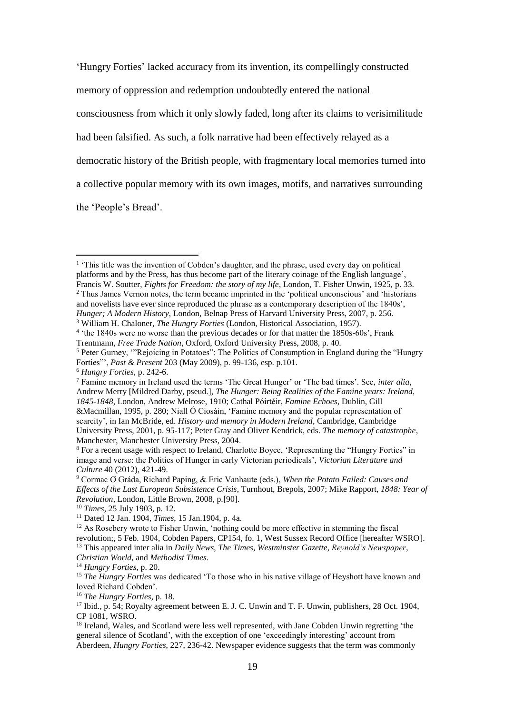'Hungry Forties' lacked accuracy from its invention, its compellingly constructed memory of oppression and redemption undoubtedly entered the national consciousness from which it only slowly faded, long after its claims to verisimilitude had been falsified. As such, a folk narrative had been effectively relayed as a democratic history of the British people, with fragmentary local memories turned into a collective popular memory with its own images, motifs, and narratives surrounding the 'People's Bread'.

<sup>3</sup> William H. Chaloner, *The Hungry Forties* (London, Historical Association, 1957).

1

<sup>14</sup> *Hungry Forties*, p. 20.

<sup>&</sup>lt;sup>1</sup> 'This title was the invention of Cobden's daughter, and the phrase, used every day on political platforms and by the Press, has thus become part of the literary coinage of the English language', Francis W. Soutter, *Fights for Freedom: the story of my life*, London, T. Fisher Unwin, 1925, p. 33.

<sup>2</sup> Thus James Vernon notes, the term became imprinted in the 'political unconscious' and 'historians and novelists have ever since reproduced the phrase as a contemporary description of the 1840s', *Hunger; A Modern History*, London, Belnap Press of Harvard University Press, 2007, p. 256.

<sup>&</sup>lt;sup>4</sup> 'the 1840s were no worse than the previous decades or for that matter the 1850s-60s', Frank Trentmann, *Free Trade Nation*, Oxford, Oxford University Press, 2008, p. 40.

<sup>5</sup> Peter Gurney, '"Rejoicing in Potatoes": The Politics of Consumption in England during the "Hungry Forties"', *Past & Present* 203 (May 2009), p. 99-136, esp. p.101.

<sup>6</sup> *Hungry Forties*, p. 242-6.

<sup>7</sup> Famine memory in Ireland used the terms 'The Great Hunger' or 'The bad times'. See, *inter alia,*  Andrew Merry [Mildred Darby, pseud.], *The Hunger: Being Realities of the Famine years: Ireland, 1845-1848*, London, Andrew Melrose, 1910; Cathal Póirtéir, *Famine Echoes*, Dublin, Gill &Macmillan, 1995, p. 280; Niall Ó Ciosáin, 'Famine memory and the popular representation of scarcity', in Ian McBride, ed. *History and memory in Modern Ireland*, Cambridge, Cambridge University Press, 2001, p. 95-117; Peter Gray and Oliver Kendrick, eds. *The memory of catastrophe*, Manchester, Manchester University Press, 2004.

<sup>8</sup> For a recent usage with respect to Ireland, Charlotte Boyce, 'Representing the "Hungry Forties" in image and verse: the Politics of Hunger in early Victorian periodicals', *Victorian Literature and Culture* 40 (2012), 421-49.

<sup>9</sup> Cormac Ơ Gráda, Richard Paping, & Eric Vanhaute (eds.), *When the Potato Failed: Causes and Effects of the Last European Subsistence Crisis*, Turnhout, Brepols, 2007; Mike Rapport, *1848: Year of Revolution*, London, Little Brown, 2008, p.[90].

<sup>10</sup> *Times*, 25 July 1903, p. 12.

<sup>11</sup> Dated 12 Jan. 1904, *Times*, 15 Jan.1904, p. 4a.

 $12$  As Rosebery wrote to Fisher Unwin, 'nothing could be more effective in stemming the fiscal revolution;, 5 Feb. 1904, Cobden Papers, CP154, fo. 1, West Sussex Record Office [hereafter WSRO]. <sup>13</sup> This appeared inter alia in *Daily News*, *The Times*, *Westminster Gazette*, *Reynold's Newspaper*, *Christian World*, and *Methodist Times*.

<sup>&</sup>lt;sup>15</sup> *The Hungry Forties* was dedicated 'To those who in his native village of Heyshott have known and loved Richard Cobden'.

<sup>16</sup> *The Hungry Forties*, p. 18.

<sup>&</sup>lt;sup>17</sup> Ibid., p. 54; Royalty agreement between E. J. C. Unwin and T. F. Unwin, publishers, 28 Oct. 1904, CP 1081, WSRO.

<sup>&</sup>lt;sup>18</sup> Ireland, Wales, and Scotland were less well represented, with Jane Cobden Unwin regretting 'the general silence of Scotland', with the exception of one 'exceedingly interesting' account from Aberdeen, *Hungry Forties*, 227, 236-42. Newspaper evidence suggests that the term was commonly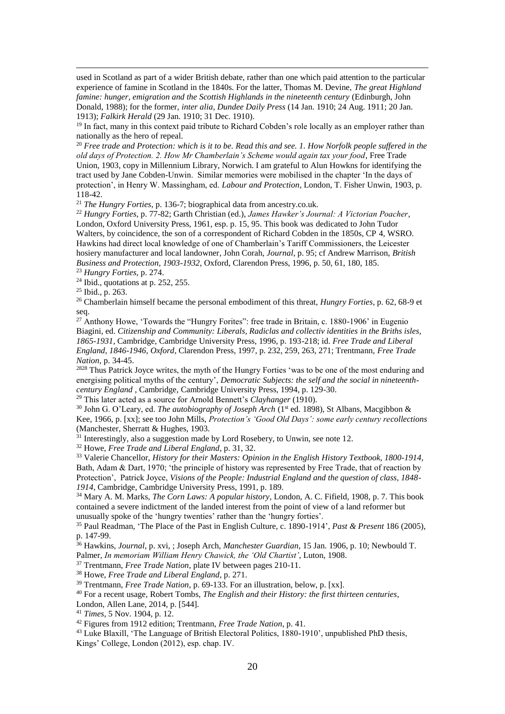used in Scotland as part of a wider British debate, rather than one which paid attention to the particular experience of famine in Scotland in the 1840s. For the latter, Thomas M. Devine, *The great Highland*  famine: hunger, emigration and the Scottish Highlands in the nineteenth century (Edinburgh, John Donald, 1988); for the former, *inter alia*, *Dundee Daily Press* (14 Jan. 1910; 24 Aug. 1911; 20 Jan. 1913); *Falkirk Herald* (29 Jan. 1910; 31 Dec. 1910).

<sup>19</sup> In fact, many in this context paid tribute to Richard Cobden's role locally as an employer rather than nationally as the hero of repeal.

<sup>20</sup> *Free trade and Protection: which is it to be. Read this and see. 1. How Norfolk people suffered in the old days of Protection. 2. How Mr Chamberlain's Scheme would again tax your food*, Free Trade Union, 1903, copy in Millennium Library, Norwich. I am grateful to Alun Howkns for identifying the tract used by Jane Cobden-Unwin. Similar memories were mobilised in the chapter 'In the days of protection', in Henry W. Massingham, ed. *Labour and Protection*, London, T. Fisher Unwin, 1903, p. 118-42.

<sup>21</sup> *The Hungry Forties*, p. 136-7; biographical data from ancestry.co.uk.

<sup>22</sup> *Hungry Forties*, p. 77-82; Garth Christian (ed.), *James Hawker's Journal: A Victorian Poacher*, London, Oxford University Press, 1961, esp. p. 15, 95. This book was dedicated to John Tudor Walters, by coincidence, the son of a correspondent of Richard Cobden in the 1850s, CP 4, WSRO. Hawkins had direct local knowledge of one of Chamberlain's Tariff Commissioners, the Leicester hosiery manufacturer and local landowner, John Corah, *Journal*, p. 95; cf Andrew Marrison, *British Business and Protection, 1903-1932*, Oxford, Clarendon Press, 1996, p. 50, 61, 180, 185. <sup>23</sup> *Hungry Forties*, p. 274.

 $24$  Ibid., quotations at p. 252, 255.

<sup>25</sup> Ibid., p. 263.

<u>.</u>

<sup>26</sup> Chamberlain himself became the personal embodiment of this threat, *Hungry Forties*, p. 62, 68-9 et seq.

 $27$  Anthony Howe, 'Towards the "Hungry Forites": free trade in Britain, c. 1880-1906' in Eugenio Biagini, ed. *Citizenship and Community: Liberals, Radiclas and collectiv identities in the Briths isles, 1865-1931*, Cambridge, Cambridge University Press, 1996, p. 193-218; id. *Free Trade and Liberal England, 1846-1946*, *Oxford*, Clarendon Press, 1997, p. 232, 259, 263, 271; Trentmann, *Free Trade Nation*, p. 34-45.

<sup>2828</sup> Thus Patrick Joyce writes, the myth of the Hungry Forties 'was to be one of the most enduring and energising political myths of the century', *Democratic Subjects: the self and the social in nineteenthcentury England* , Cambridge, Cambridge University Press, 1994, p. 129-30.

<sup>29</sup> This later acted as a source for Arnold Bennett's *Clayhanger* (1910).

<sup>30</sup> John G. O'Leary, ed. *The autobiography of Joseph Arch* (1<sup>st</sup> ed. 1898), St Albans, Macgibbon & Kee, 1966, p. [xx]; see too John Mills, *Protection's 'Good Old Days': some early century recollections* (Manchester, Sherratt & Hughes, 1903.

 $31$  Interestingly, also a suggestion made by Lord Rosebery, to Unwin, see note 12.

<sup>32</sup> Howe, *Free Trade and Liberal England*, p. 31, 32.

<sup>33</sup> Valerie Chancellor, *History for their Masters: Opinion in the English History Textbook, 1800-1914*, Bath, Adam & Dart, 1970; 'the principle of history was represented by Free Trade, that of reaction by Protection', Patrick Joyce, *Visions of the People: Industrial England and the question of class, 1848- 1914*, Cambridge, Cambridge University Press, 1991, p. 189.

<sup>34</sup> Mary A. M. Marks, *The Corn Laws: A popular history*, London, A. C. Fifield, 1908, p. 7. This book contained a severe indictment of the landed interest from the point of view of a land reformer but unusually spoke of the 'hungry twenties' rather than the 'hungry forties'.

<sup>35</sup> Paul Readman, 'The Place of the Past in English Culture, c. 1890-1914', *Past & Present* 186 (2005), p. 147-99.

<sup>36</sup> Hawkins, *Journal*, p. xvi, ; Joseph Arch, *Manchester Guardian*, 15 Jan. 1906, p. 10; Newbould T. Palmer, *In memoriam William Henry Chawick, the 'Old Chartist'*, Luton, 1908.

<sup>37</sup> Trentmann, *Free Trade Nation*, plate IV between pages 210-11.

<sup>38</sup> Howe, *Free Trade and Liberal England*, p. 271.

<sup>39</sup> Trentmann, *Free Trade Nation*, p. 69-133. For an illustration, below, p. [xx].

<sup>40</sup> For a recent usage, Robert Tombs, *The English and their History: the first thirteen centuries*, London, Allen Lane, 2014, p. [544].

<sup>41</sup> *Times*, 5 Nov. 1904, p. 12.

<sup>42</sup> Figures from 1912 edition; Trentmann, *Free Trade Nation*, p. 41.

<sup>43</sup> Luke Blaxill, 'The Language of British Electoral Politics, 1880-1910', unpublished PhD thesis, Kings' College, London (2012), esp. chap. IV.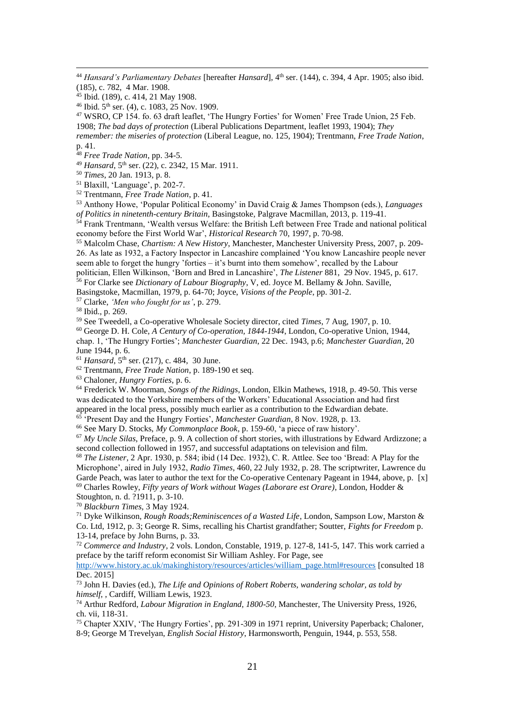<sup>44</sup> *Hansard's Parliamentary Debates* [hereafter *Hansard*], 4<sup>th</sup> ser. (144), c. 394, 4 Apr. 1905; also ibid. (185), c. 782, 4 Mar. 1908.

<sup>45</sup> Ibid. (189), c. 414, 21 May 1908.

<u>.</u>

<sup>46</sup> Ibid. 5th ser. (4), c. 1083, 25 Nov. 1909.

<sup>47</sup> WSRO, CP 154. fo. 63 draft leaflet, 'The Hungry Forties' for Women' Free Trade Union, 25 Feb. 1908; *The bad days of protection* (Liberal Publications Department, leaflet 1993, 1904); *They remember: the miseries of protection* (Liberal League, no. 125, 1904); Trentmann, *Free Trade Nation*, p. 41.

<sup>48</sup> *Free Trade Nation*, pp. 34-5.

<sup>49</sup> *Hansard*, 5th ser. (22), c. 2342, 15 Mar. 1911.

<sup>50</sup> *Times*, 20 Jan. 1913, p. 8.

<sup>51</sup> Blaxill, 'Language', p. 202-7.

<sup>52</sup> Trentmann, *Free Trade Nation*, p. 41.

<sup>53</sup> Anthony Howe, 'Popular Political Economy' in David Craig & James Thompson (eds.), *Languages of Politics in ninetenth-century Britain*, Basingstoke*,* Palgrave Macmillan, 2013, p. 119-41.

<sup>54</sup> Frank Trentmann, 'Wealth versus Welfare: the British Left between Free Trade and national political economy before the First World War', *Historical Research* 70, 1997, p. 70-98.

<sup>55</sup> Malcolm Chase, *Chartism: A New History*, Manchester, Manchester University Press, 2007, p. 209- 26. As late as 1932, a Factory Inspector in Lancashire complained 'You know Lancashire people never seem able to forget the hungry 'forties – it's burnt into them somehow', recalled by the Labour politician, Ellen Wilkinson, 'Born and Bred in Lancashire', *The Listener* 881, 29 Nov. 1945, p. 617.

<sup>56</sup> For Clarke see *Dictionary of Labour Biography*, V, ed. Joyce M. Bellamy & John. Saville,

Basingstoke, Macmillan, 1979, p. 64-70; Joyce, *Visions of the People*, pp. 301-2.

<sup>57</sup> Clarke, *'Men who fought for us'*, p. 279.

<sup>58</sup> Ibid., p. 269.

<sup>59</sup> See Tweedell, a Co-operative Wholesale Society director, cited *Times*, 7 Aug, 1907, p. 10.

<sup>60</sup> George D. H. Cole, *A Century of Co-operation, 1844-1944*, London, Co-operative Union, 1944,

chap. 1, 'The Hungry Forties'; *Manchester Guardian*, 22 Dec. 1943, p.6; *Manchester Guardian*, 20 June 1944, p. 6.

 $^{61}$  *Hansard*,  $5^{th}$  ser. (217), c. 484, 30 June.

<sup>62</sup> Trentmann, *Free Trade Nation*, p. 189-190 et seq.

<sup>63</sup> Chaloner, *Hungry Forties*, p. 6.

<sup>64</sup> Frederick W. Moorman, *Songs of the Ridings*, London, Elkin Mathews, 1918, p. 49-50. This verse was dedicated to the Yorkshire members of the Workers' Educational Association and had first appeared in the local press, possibly much earlier as a contribution to the Edwardian debate.

<sup>65</sup> 'Present Day and the Hungry Forties', *Manchester Guardian*, 8 Nov. 1928, p. 13.

<sup>66</sup> See Mary D. Stocks, *My Commonplace Book*, p. 159-60, 'a piece of raw history'.

<sup>67</sup> *My Uncle Silas*, Preface, p. 9. A collection of short stories, with illustrations by Edward Ardizzone; a second collection followed in 1957, and successful adaptations on television and film.

<sup>68</sup> *The Listener*, 2 Apr. 1930, p. 584; ibid (14 Dec. 1932), C. R. Attlee. See too 'Bread: A Play for the Microphone', aired in July 1932, *Radio Times*, 460, 22 July 1932, p. 28. The scriptwriter, Lawrence du Garde Peach, was later to author the text for the Co-operative Centenary Pageant in 1944, above, p. [x] <sup>69</sup> Charles Rowley, *Fifty years of Work without Wages (Laborare est Orare)*, London, Hodder & Stoughton, n. d. ?1911, p. 3-10.

<sup>70</sup> *Blackburn Times*, 3 May 1924.

<sup>71</sup> Dyke Wilkinson, *Rough Roads;Reminiscences of a Wasted Life*, London, Sampson Low, Marston & Co. Ltd, 1912, p. 3; George R. Sims, recalling his Chartist grandfather; Soutter, *Fights for Freedom* p. 13-14, preface by John Burns, p. 33.

<sup>72</sup> *Commerce and Industry*, 2 vols. London, Constable, 1919, p. 127-8, 141-5, 147. This work carried a preface by the tariff reform economist Sir William Ashley. For Page, see

[http://www.history.ac.uk/makinghistory/resources/articles/william\\_page.html#resources](http://www.history.ac.uk/makinghistory/resources/articles/william_page.html#resources) [consulted 18 Dec. 2015]

<sup>73</sup> John H. Davies (ed.), *The Life and Opinions of Robert Roberts, wandering scholar, as told by himself*, , Cardiff, William Lewis, 1923.

<sup>74</sup> Arthur Redford, *Labour Migration in England, 1800-50*, Manchester, The University Press, 1926, ch. vii, 118-31.

<sup>75</sup> Chapter XXIV, 'The Hungry Forties', pp. 291-309 in 1971 reprint, University Paperback; Chaloner, 8-9; George M Trevelyan, *English Social History*, Harmonsworth, Penguin, 1944, p. 553, 558.